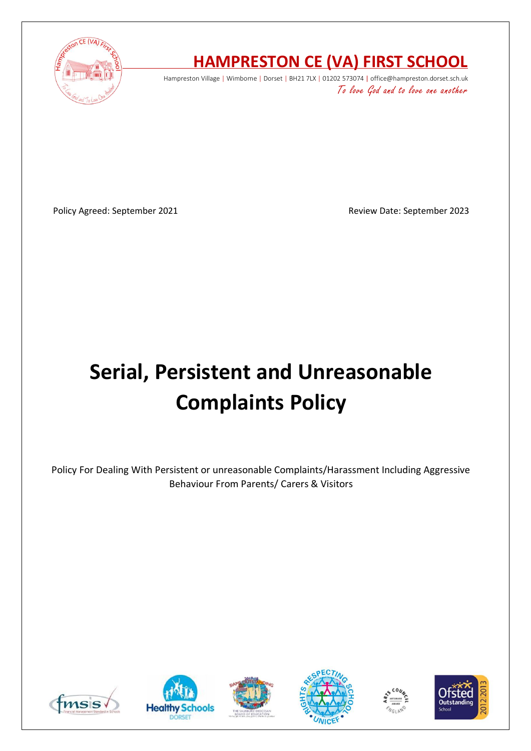

## **HAMPRESTON CE (VA) FIRST SCHOOL**

Hampreston Village | Wimborne | Dorset | BH21 7LX | 01202 573074 | office@hampreston.dorset.sch.uk To love God and to love one another

Policy Agreed: September 2021 and a september 2023

# **Serial, Persistent and Unreasonable Complaints Policy**

Policy For Dealing With Persistent or unreasonable Complaints/Harassment Including Aggressive Behaviour From Parents/ Carers & Visitors











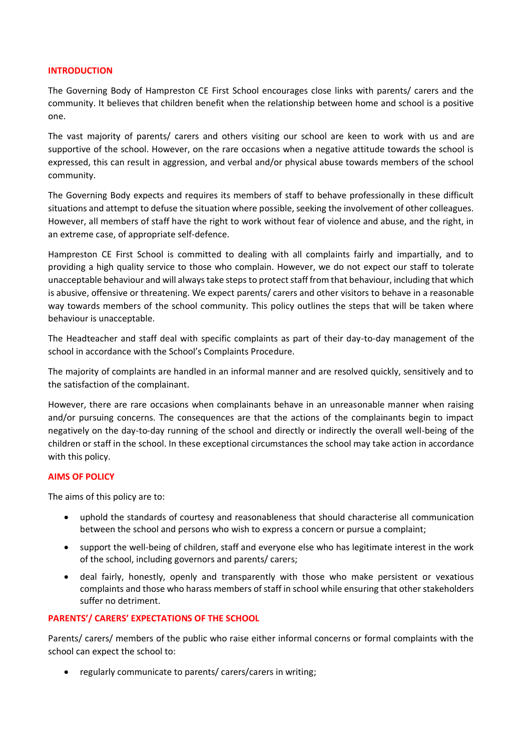#### **INTRODUCTION**

The Governing Body of Hampreston CE First School encourages close links with parents/ carers and the community. It believes that children benefit when the relationship between home and school is a positive one.

The vast majority of parents/ carers and others visiting our school are keen to work with us and are supportive of the school. However, on the rare occasions when a negative attitude towards the school is expressed, this can result in aggression, and verbal and/or physical abuse towards members of the school community.

The Governing Body expects and requires its members of staff to behave professionally in these difficult situations and attempt to defuse the situation where possible, seeking the involvement of other colleagues. However, all members of staff have the right to work without fear of violence and abuse, and the right, in an extreme case, of appropriate self-defence.

Hampreston CE First School is committed to dealing with all complaints fairly and impartially, and to providing a high quality service to those who complain. However, we do not expect our staff to tolerate unacceptable behaviour and will always take steps to protect staff from that behaviour, including that which is abusive, offensive or threatening. We expect parents/ carers and other visitors to behave in a reasonable way towards members of the school community. This policy outlines the steps that will be taken where behaviour is unacceptable.

The Headteacher and staff deal with specific complaints as part of their day-to-day management of the school in accordance with the School's Complaints Procedure.

The majority of complaints are handled in an informal manner and are resolved quickly, sensitively and to the satisfaction of the complainant.

However, there are rare occasions when complainants behave in an unreasonable manner when raising and/or pursuing concerns. The consequences are that the actions of the complainants begin to impact negatively on the day-to-day running of the school and directly or indirectly the overall well-being of the children or staff in the school. In these exceptional circumstances the school may take action in accordance with this policy.

#### **AIMS OF POLICY**

The aims of this policy are to:

- uphold the standards of courtesy and reasonableness that should characterise all communication between the school and persons who wish to express a concern or pursue a complaint;
- support the well-being of children, staff and everyone else who has legitimate interest in the work of the school, including governors and parents/ carers;
- deal fairly, honestly, openly and transparently with those who make persistent or vexatious complaints and those who harass members of staff in school while ensuring that other stakeholders suffer no detriment.

#### **PARENTS'/ CARERS' EXPECTATIONS OF THE SCHOOL**

Parents/ carers/ members of the public who raise either informal concerns or formal complaints with the school can expect the school to:

• regularly communicate to parents/ carers/carers in writing;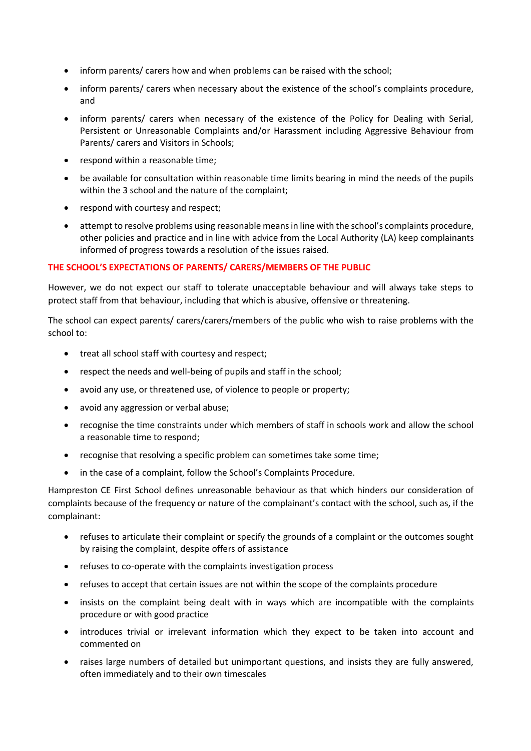- inform parents/ carers how and when problems can be raised with the school;
- inform parents/ carers when necessary about the existence of the school's complaints procedure, and
- inform parents/ carers when necessary of the existence of the Policy for Dealing with Serial, Persistent or Unreasonable Complaints and/or Harassment including Aggressive Behaviour from Parents/ carers and Visitors in Schools;
- respond within a reasonable time;
- be available for consultation within reasonable time limits bearing in mind the needs of the pupils within the 3 school and the nature of the complaint;
- respond with courtesy and respect;
- attempt to resolve problems using reasonable means in line with the school's complaints procedure, other policies and practice and in line with advice from the Local Authority (LA) keep complainants informed of progress towards a resolution of the issues raised.

#### **THE SCHOOL'S EXPECTATIONS OF PARENTS/ CARERS/MEMBERS OF THE PUBLIC**

However, we do not expect our staff to tolerate unacceptable behaviour and will always take steps to protect staff from that behaviour, including that which is abusive, offensive or threatening.

The school can expect parents/ carers/carers/members of the public who wish to raise problems with the school to:

- treat all school staff with courtesy and respect;
- respect the needs and well-being of pupils and staff in the school;
- avoid any use, or threatened use, of violence to people or property;
- avoid any aggression or verbal abuse;
- recognise the time constraints under which members of staff in schools work and allow the school a reasonable time to respond;
- recognise that resolving a specific problem can sometimes take some time;
- in the case of a complaint, follow the School's Complaints Procedure.

Hampreston CE First School defines unreasonable behaviour as that which hinders our consideration of complaints because of the frequency or nature of the complainant's contact with the school, such as, if the complainant:

- refuses to articulate their complaint or specify the grounds of a complaint or the outcomes sought by raising the complaint, despite offers of assistance
- refuses to co-operate with the complaints investigation process
- refuses to accept that certain issues are not within the scope of the complaints procedure
- insists on the complaint being dealt with in ways which are incompatible with the complaints procedure or with good practice
- introduces trivial or irrelevant information which they expect to be taken into account and commented on
- raises large numbers of detailed but unimportant questions, and insists they are fully answered, often immediately and to their own timescales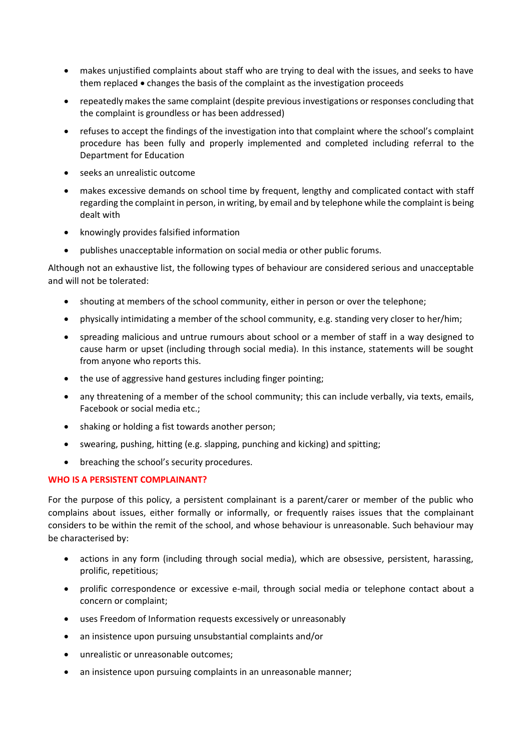- makes unjustified complaints about staff who are trying to deal with the issues, and seeks to have them replaced • changes the basis of the complaint as the investigation proceeds
- repeatedly makes the same complaint (despite previous investigations or responses concluding that the complaint is groundless or has been addressed)
- refuses to accept the findings of the investigation into that complaint where the school's complaint procedure has been fully and properly implemented and completed including referral to the Department for Education
- seeks an unrealistic outcome
- makes excessive demands on school time by frequent, lengthy and complicated contact with staff regarding the complaint in person, in writing, by email and by telephone while the complaint is being dealt with
- knowingly provides falsified information
- publishes unacceptable information on social media or other public forums.

Although not an exhaustive list, the following types of behaviour are considered serious and unacceptable and will not be tolerated:

- shouting at members of the school community, either in person or over the telephone;
- physically intimidating a member of the school community, e.g. standing very closer to her/him;
- spreading malicious and untrue rumours about school or a member of staff in a way designed to cause harm or upset (including through social media). In this instance, statements will be sought from anyone who reports this.
- the use of aggressive hand gestures including finger pointing;
- any threatening of a member of the school community; this can include verbally, via texts, emails, Facebook or social media etc.;
- shaking or holding a fist towards another person;
- swearing, pushing, hitting (e.g. slapping, punching and kicking) and spitting;
- breaching the school's security procedures.

#### **WHO IS A PERSISTENT COMPLAINANT?**

For the purpose of this policy, a persistent complainant is a parent/carer or member of the public who complains about issues, either formally or informally, or frequently raises issues that the complainant considers to be within the remit of the school, and whose behaviour is unreasonable. Such behaviour may be characterised by:

- actions in any form (including through social media), which are obsessive, persistent, harassing, prolific, repetitious;
- prolific correspondence or excessive e-mail, through social media or telephone contact about a concern or complaint;
- uses Freedom of Information requests excessively or unreasonably
- an insistence upon pursuing unsubstantial complaints and/or
- unrealistic or unreasonable outcomes;
- an insistence upon pursuing complaints in an unreasonable manner;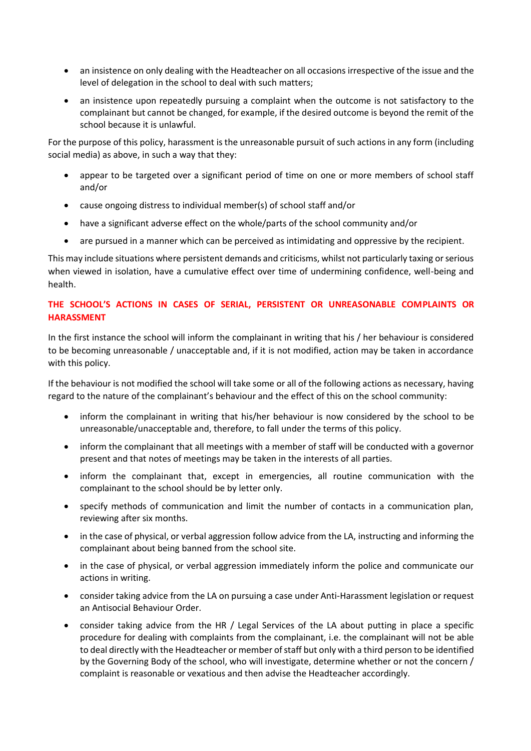- an insistence on only dealing with the Headteacher on all occasions irrespective of the issue and the level of delegation in the school to deal with such matters;
- an insistence upon repeatedly pursuing a complaint when the outcome is not satisfactory to the complainant but cannot be changed, for example, if the desired outcome is beyond the remit of the school because it is unlawful.

For the purpose of this policy, harassment is the unreasonable pursuit of such actions in any form (including social media) as above, in such a way that they:

- appear to be targeted over a significant period of time on one or more members of school staff and/or
- cause ongoing distress to individual member(s) of school staff and/or
- have a significant adverse effect on the whole/parts of the school community and/or
- are pursued in a manner which can be perceived as intimidating and oppressive by the recipient.

This may include situations where persistent demands and criticisms, whilst not particularly taxing or serious when viewed in isolation, have a cumulative effect over time of undermining confidence, well-being and health.

### **THE SCHOOL'S ACTIONS IN CASES OF SERIAL, PERSISTENT OR UNREASONABLE COMPLAINTS OR HARASSMENT**

In the first instance the school will inform the complainant in writing that his / her behaviour is considered to be becoming unreasonable / unacceptable and, if it is not modified, action may be taken in accordance with this policy.

If the behaviour is not modified the school will take some or all of the following actions as necessary, having regard to the nature of the complainant's behaviour and the effect of this on the school community:

- inform the complainant in writing that his/her behaviour is now considered by the school to be unreasonable/unacceptable and, therefore, to fall under the terms of this policy.
- inform the complainant that all meetings with a member of staff will be conducted with a governor present and that notes of meetings may be taken in the interests of all parties.
- inform the complainant that, except in emergencies, all routine communication with the complainant to the school should be by letter only.
- specify methods of communication and limit the number of contacts in a communication plan, reviewing after six months.
- in the case of physical, or verbal aggression follow advice from the LA, instructing and informing the complainant about being banned from the school site.
- in the case of physical, or verbal aggression immediately inform the police and communicate our actions in writing.
- consider taking advice from the LA on pursuing a case under Anti-Harassment legislation or request an Antisocial Behaviour Order.
- consider taking advice from the HR / Legal Services of the LA about putting in place a specific procedure for dealing with complaints from the complainant, i.e. the complainant will not be able to deal directly with the Headteacher or member of staff but only with a third person to be identified by the Governing Body of the school, who will investigate, determine whether or not the concern / complaint is reasonable or vexatious and then advise the Headteacher accordingly.